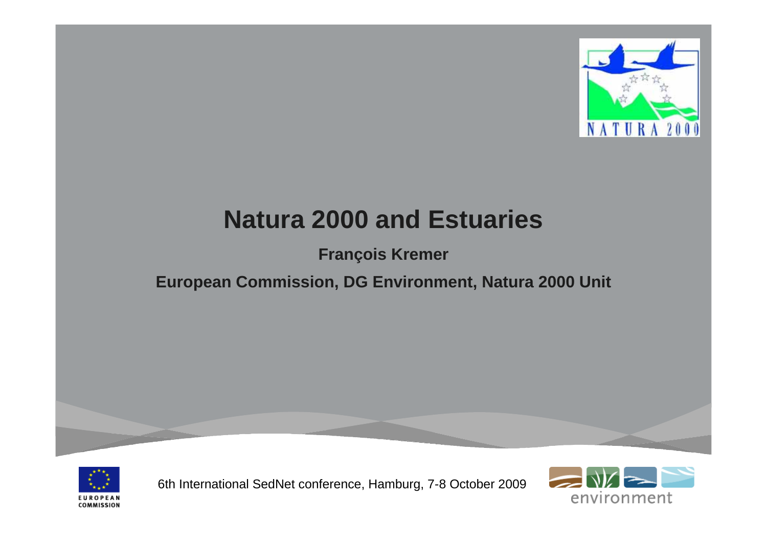

# **Natura 2000 and Estuaries**

#### **François Kremer**

#### **European Commission, DG Environment, Natura 2000 Unit**



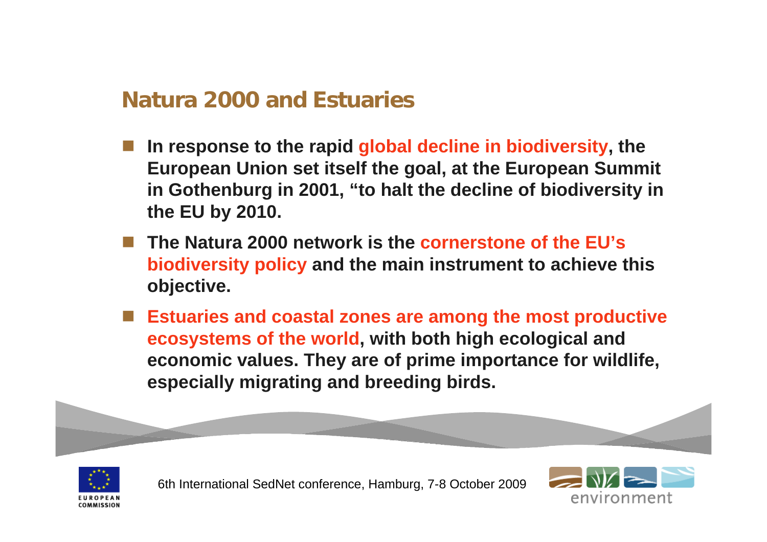#### **Natura 2000 and Estuaries**

- **Service Service In response to the rapid global decline in biodiversity, the European Union set itself the goal, at the European Summit in Gothenburg in 2001, "to halt the decline of biodiversity in the EU by 2010.**
- **The Natura 2000 network is the cornerstone of the EU's biodiversity policy and the main instrument to achieve this objective.**
- **Estuaries and coastal zones are among the most productive ecosystems of the world, with both high ecological and economic values. They are of prime importance for wildlife, especially migrating and breeding birds.**



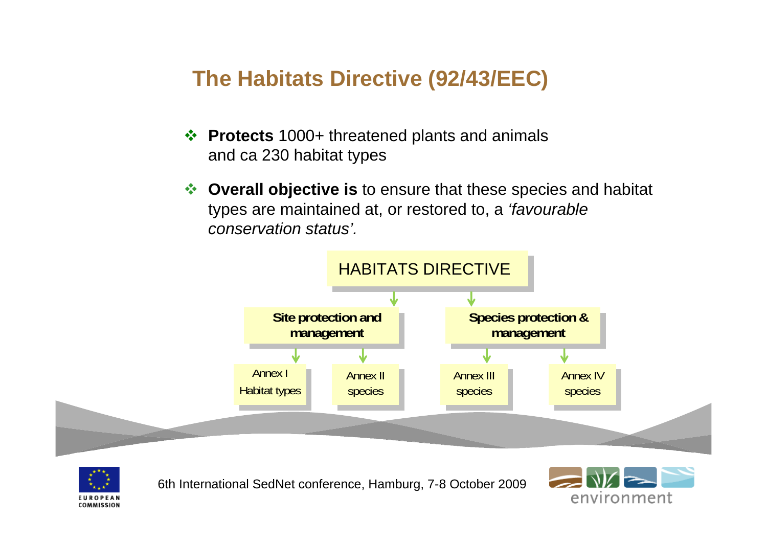### **The Habitats Directive (92/43/EEC)**

- **Protects** 1000+ threatened plants and animals and ca 230 habitat types
- **Overall objective is** to ensure that these species and habitat types are maintained at, or restored to, a *'favourable conservation status'.*





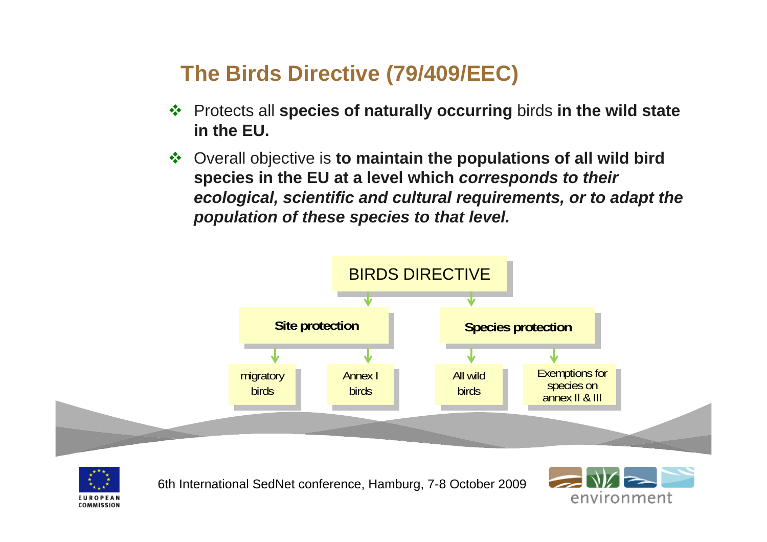# **The Birds Directive (79/409/EEC)**

- Protects all **species of naturally occurring** birds **in the wild state in the EU.**
- Overall objective is **to maintain the populations of all wild bird species in the EU at a level which** *corresponds to their ecological, scientific and cultural requirements, or to adapt the population of these species to that level.*





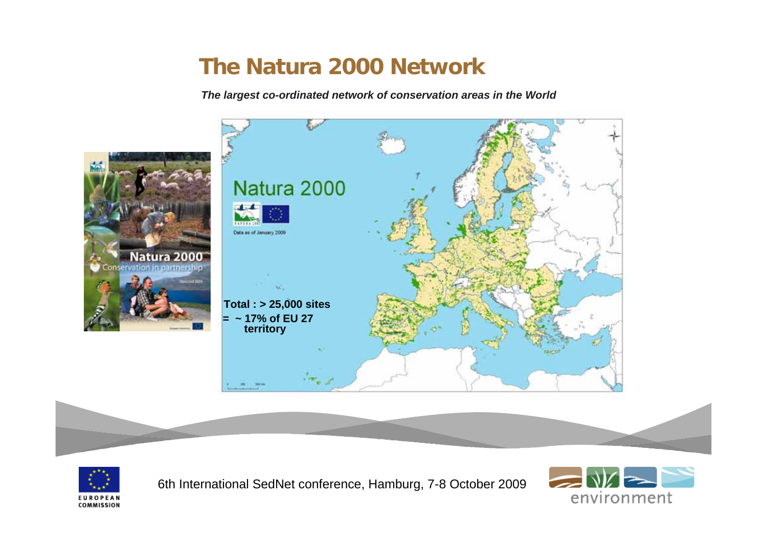#### **The Natura 2000 Network**

*The largest co-ordinated network of conservation areas in the World*







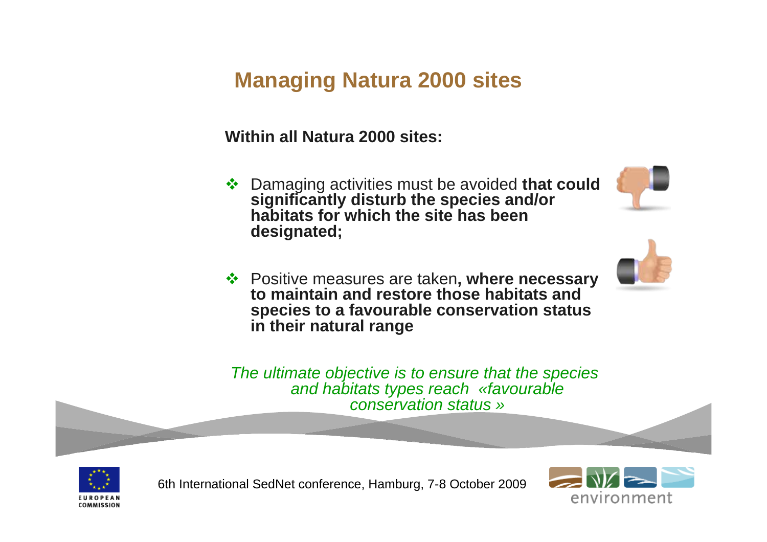## **Managing Natura 2000 sites**

#### **Within all Natura 2000 sites:**

 Damaging activities must be avoided **that could significantly disturb the species and/or habitats for which the site has been designated;**





 Positive measures are taken**, where necessary to maintain and restore those habitats and species to a favourable conservation status in their natural range**

*The ultimate objective is to ensure that the species and habitats types reach «favourable conservation status »*



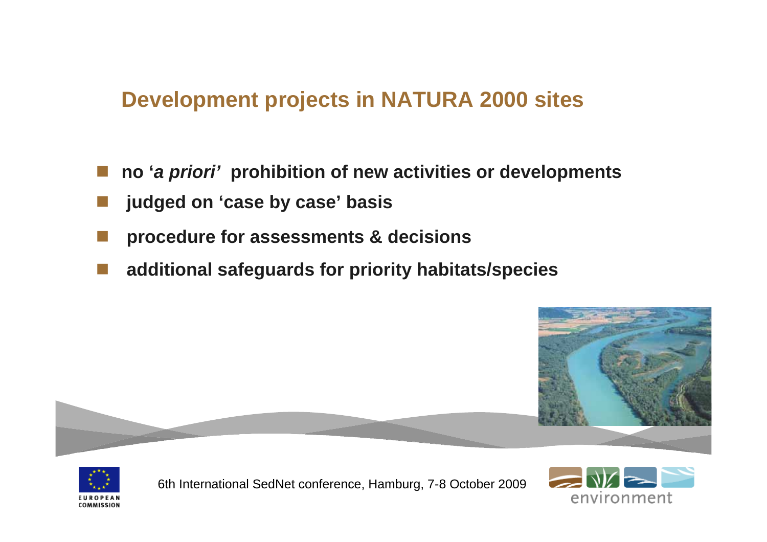#### **Development projects in NATURA 2000 sites**

- **no '***a priori'* **prohibition of new activities or developments**
- **judged on 'case by case' basis**
- **procedure for assessments & decisions**
- **additional safeguards for priority habitats/species**





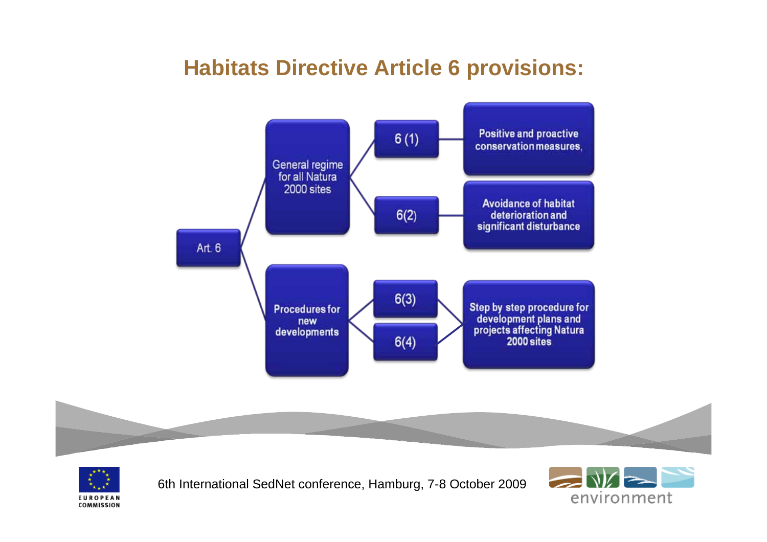#### **Habitats Directive Article 6 provisions:**





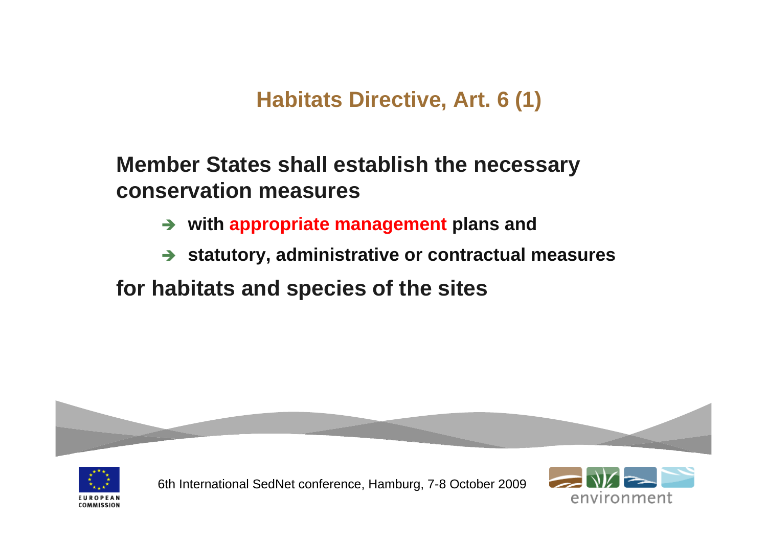**Habitats Directive, Art. 6 (1)**

#### **Member States shall establish the necessary conservation measures**

- $\rightarrow$ **with appropriate management plans and**
- **→ statutory, administrative or contractual measures**

#### **for habitats and species of the sites**



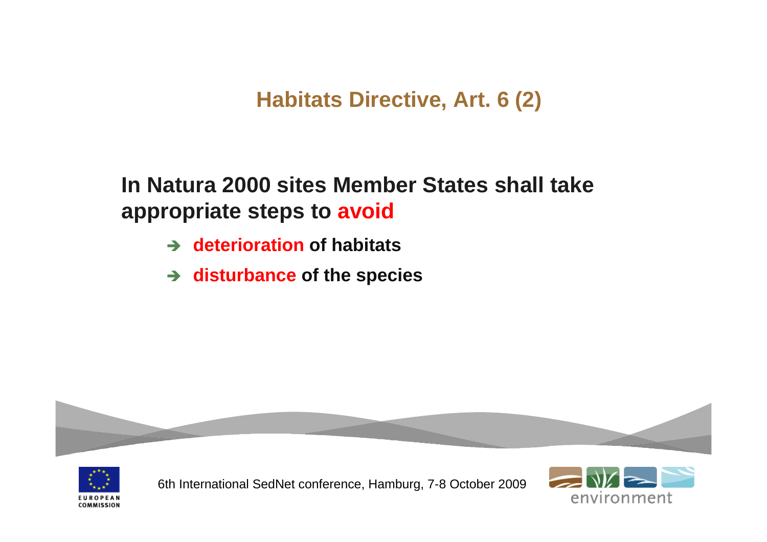### **Habitats Directive, Art. 6 (2)**

**In Natura 2000 sites Member States shall take appropriate steps to avoid** 

- **→ deterioration of habitats**
- $\rightarrow$  disturbance of the species



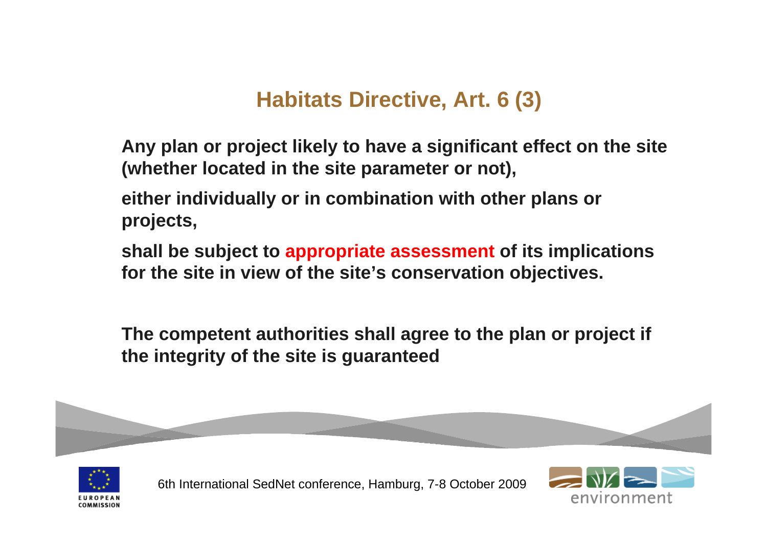### **Habitats Directive, Art. 6 (3)**

**Any plan or project likely to have a significant effect on the site (whether located in the site parameter or not),** 

**either individually or in combination with other plans or projects,** 

**shall be subject to appropriate assessment of its implications for the site in view of the site's conservation objectives.**

**The competent authorities shall agree to the plan or project if the integrity of the site is guaranteed**



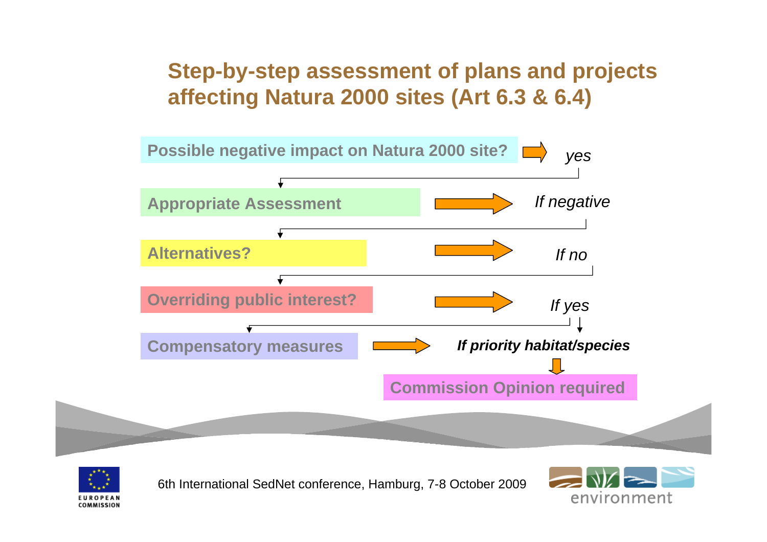### **Step-by-step assessment of plans and projects affecting Natura 2000 sites (Art 6.3 & 6.4)**





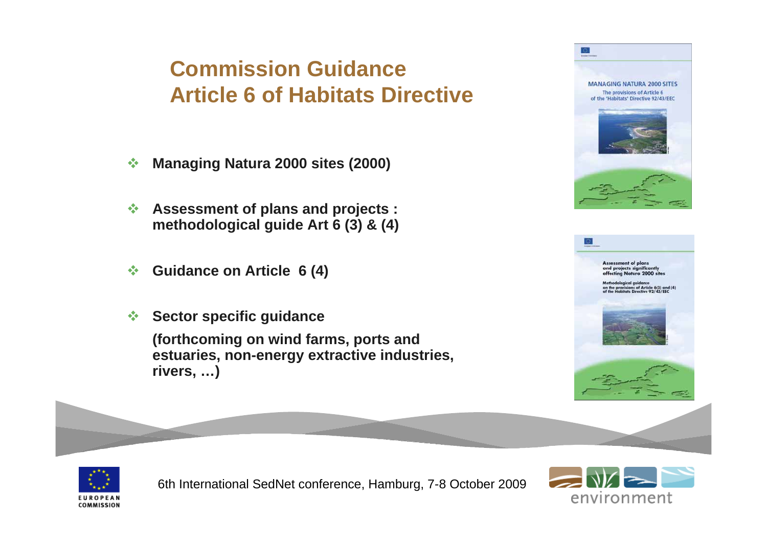## **Commission Guidance Article 6 of Habitats Directive**

- $\frac{1}{2}$ **Managing Natura 2000 sites (2000)**
- $\mathcal{L}$  **Assessment of plans and projects : methodological guide Art 6 (3) & (4)**
- $\frac{1}{2}$ **Guidance on Article 6 (4)**
- $\frac{1}{2}$ **Sector specific guidance**

**(forthcoming on wind farms, ports and estuaries, non-energy extractive industries, rivers, …)** 







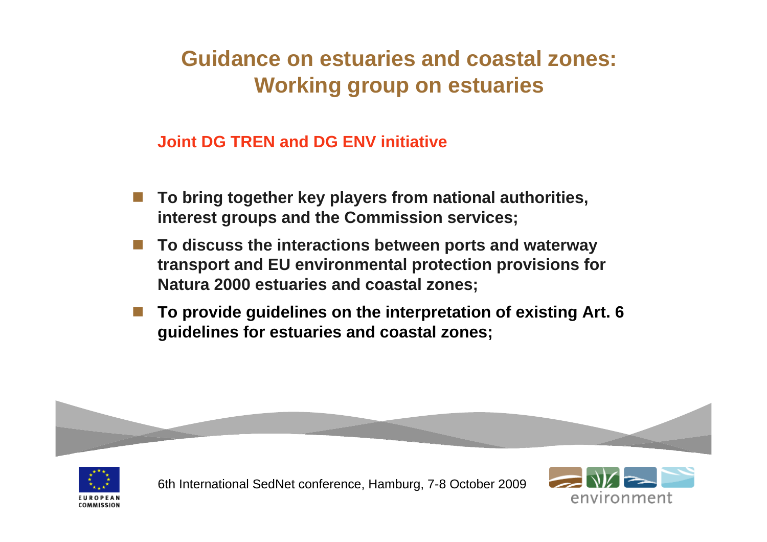## **Guidance on estuaries and coastal zones: Working group on estuaries**

**Joint DG TREN and DG ENV initiative**

- F. **To bring together key players from national authorities, interest groups and the Commission services;**
- F. **To discuss the interactions between ports and waterway transport and EU environmental protection provisions for Natura 2000 estuaries and coastal zones;**
- F. **To provide guidelines on the interpretation of existing Art. 6 guidelines for estuaries and coastal zones;**



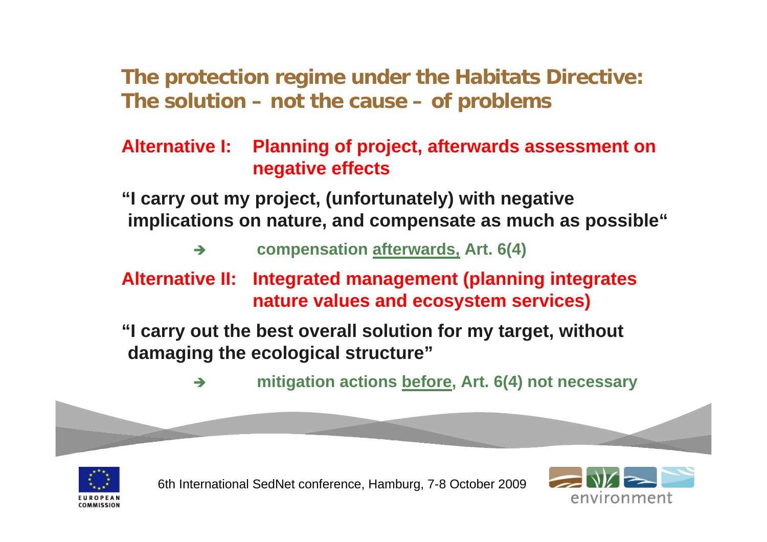**The protection regime under the Habitats Directive: The solution – not the cause – of problems**

#### **Alternative I: Planning of project, afterwards assessment on negative effects**

**"I carry out my project, (unfortunately) with negative implications on nature, and compensate as much as possible"**

#### $\rightarrow$ **compensation afterwards, Art. 6(4)**

#### **Alternative II: Integrated management (planning integrates nature values and ecosystem services)**

**"I carry out the best overall solution for my target, without damaging the ecological structure"**

> $\rightarrow$ **mitigation actions before, Art. 6(4) not necessary**



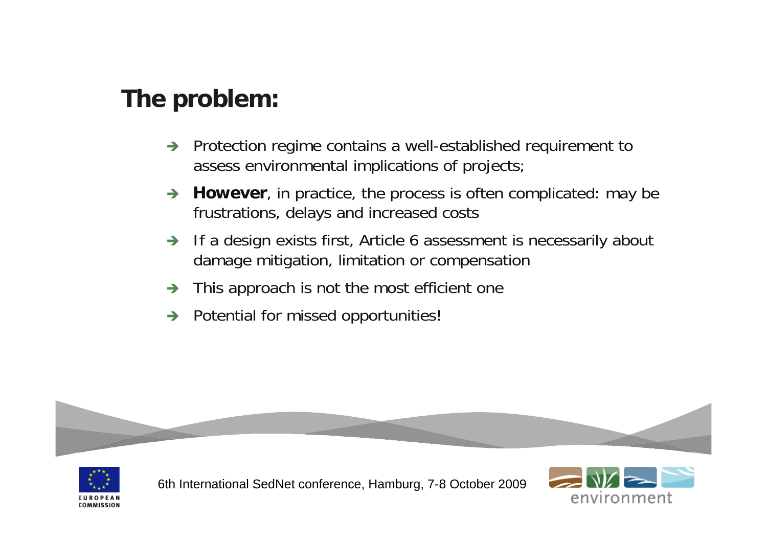# **The problem:**

- $\rightarrow$  Protection regime contains a well-established requirement to assess environmental implications of projects;
- $\rightarrow$  **However**, in practice, the process is often complicated: may be frustrations, delays and increased costs
- $\rightarrow$  If a design exists first, Article 6 assessment is necessarily about damage mitigation, limitation or compensation
- $\rightarrow$ This approach is not the most efficient one
- $\rightarrow$  Potential for missed opportunities!



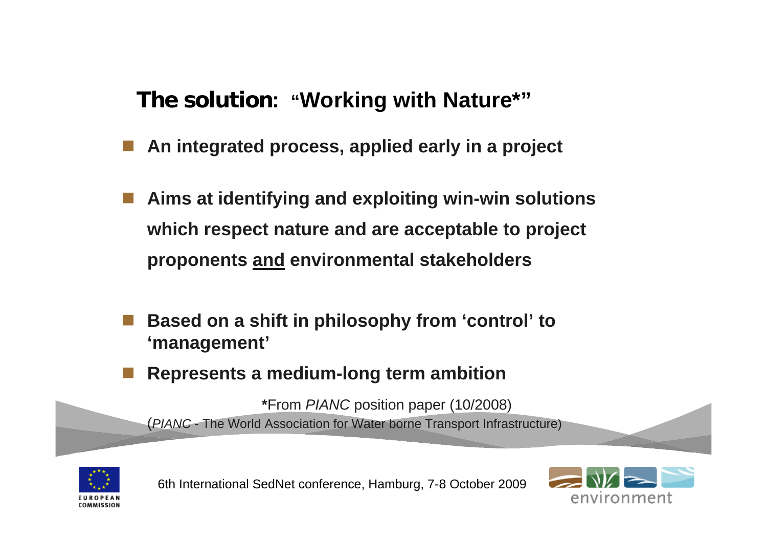#### **The solution: "Working with Nature\*"**

- **Service Service An integrated process, applied early in a project**
- **Aims at identifying and exploiting win-win solutions which respect nature and are acceptable to project proponents and environmental stakeholders**
- **Based on a shift in philosophy from 'control' to 'management'**
- eri<br>1970 **Represents a medium-long term ambition**

**\***From *PIANC* position paper (10/2008) (*PIANC* - The World Association for Water borne Transport Infrastructure)



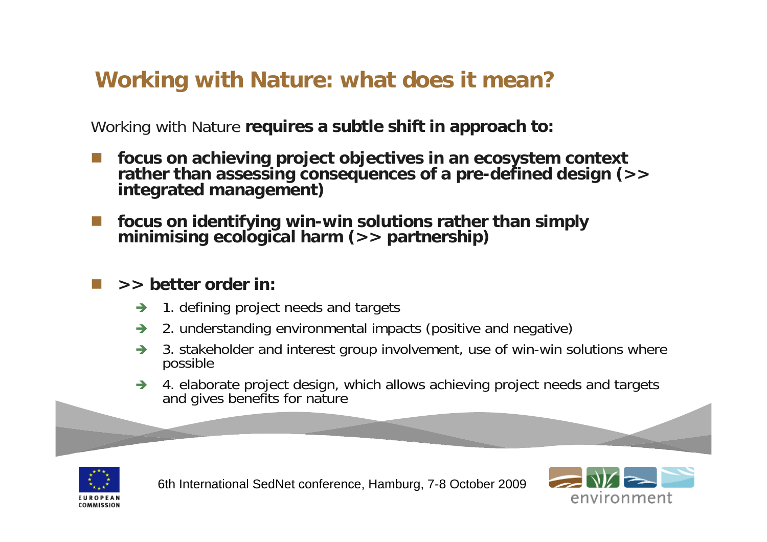## **Working with Nature: what does it mean?**

Working with Nature **requires a subtle shift in approach to:** 

- F. **focus on achieving project objectives in an ecosystem context**  rather than assessing consequences of a pre-defined design (>><br>integrated management)
- **focus on identifying win-win solutions rather than simply minimising ecological harm (>> partnership)**

#### **>> better order in:**

- $\rightarrow$ 1. defining project needs and targets
- $\rightarrow$ 2. understanding environmental impacts (positive and negative)
- $\rightarrow$  3. stakeholder and interest group involvement, use of win-win solutions where possible
- $\rightarrow$ → 4. elaborate project design, which allows achieving project needs and targets and gives benefits for nature



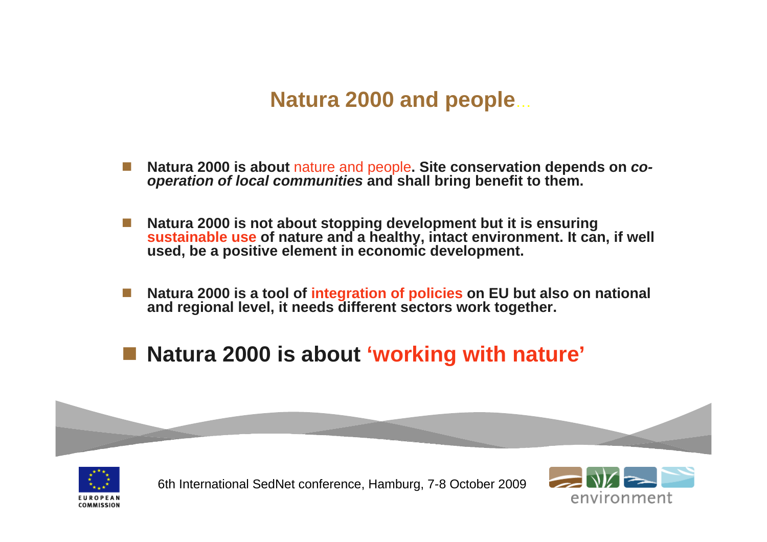#### **Natura 2000 and people** …

- L. **Natura 2000 is about** nature and people**. Site conservation depends on** *cooperation of local communities* **and shall bring benefit to them.**
- $\Box$  **Natura 2000 is not about stopping development but it is ensuring sustainable use of nature and a healthy, intact environment. It can, if well used, be a positive element in economic development.**
- **Natura 2000 is a tool of integration of policies on EU but also on national and regional level, it needs different sectors work together.**
- **Natura 2000 is about 'working with nature'**